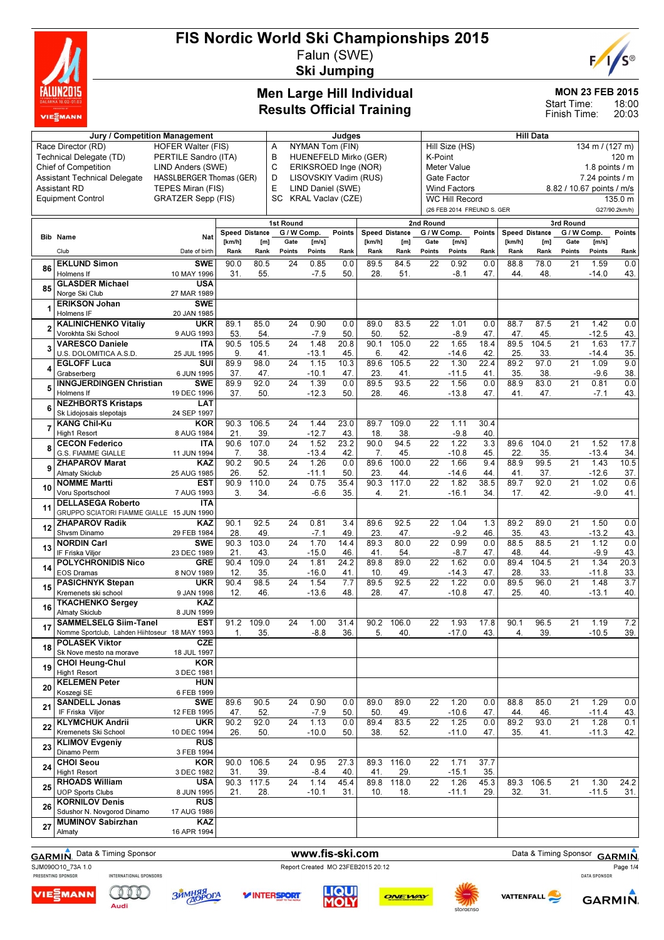

# FIS Nordic World Ski Championships 2015

Falun (SWE) Ski Jumping

### Men Large Hill Individual Results Official Training

#### MON 23 FEB 2015

 $F$ 

18:00 20:03 Start Time: Finish Time:

|                | Race Director (RD)                                                    | <b>Jury / Competition Management</b><br><b>HOFER Walter (FIS)</b> | Α              | NYMAN Tom (FIN) | Judges          |                          |             | <b>Hill Data</b><br>Hill Size (HS)<br>134 m / (127 m) |              |                       |                            |               |                           |                  |             |                 |               |  |  |
|----------------|-----------------------------------------------------------------------|-------------------------------------------------------------------|----------------|-----------------|-----------------|--------------------------|-------------|-------------------------------------------------------|--------------|-----------------------|----------------------------|---------------|---------------------------|------------------|-------------|-----------------|---------------|--|--|
|                | Technical Delegate (TD)                                               | PERTILE Sandro (ITA)                                              | B              |                 |                 | HUENEFELD Mirko (GER)    |             | K-Point                                               |              |                       |                            |               |                           |                  | 120 m       |                 |               |  |  |
|                | <b>Chief of Competition</b>                                           | LIND Anders (SWE)                                                 |                |                 | C               | ERIKSROED Inge (NOR)     |             |                                                       |              |                       | <b>Meter Value</b>         |               |                           |                  |             | 1.8 points $/m$ |               |  |  |
|                | <b>Assistant Technical Delegate</b>                                   | HASSLBERGER Thomas (GER)                                          |                |                 | D               | LISOVSKIY Vadim (RUS)    |             |                                                       |              |                       | Gate Factor                |               |                           |                  |             | 7.24 points / m |               |  |  |
|                | <b>Assistant RD</b>                                                   | TEPES Miran (FIS)                                                 |                |                 | E               | LIND Daniel (SWE)        |             |                                                       |              |                       | <b>Wind Factors</b>        |               | 8.82 / 10.67 points / m/s |                  |             |                 |               |  |  |
|                | <b>Equipment Control</b>                                              | <b>GRATZER Sepp (FIS)</b>                                         |                |                 | SC              | <b>KRAL Vaclav (CZE)</b> |             |                                                       |              | <b>WC Hill Record</b> |                            |               |                           |                  |             |                 | 135.0 m       |  |  |
|                |                                                                       |                                                                   |                |                 |                 |                          |             |                                                       |              |                       | (26 FEB 2014 FREUND S. GER |               |                           |                  |             |                 | G27/90.2km/h) |  |  |
|                |                                                                       |                                                                   |                |                 | 1st Round       |                          |             |                                                       |              | 2nd Round             |                            |               |                           |                  | 3rd Round   |                 |               |  |  |
|                | <b>Bib Name</b>                                                       | Nat                                                               | Speed Distance |                 | G / W Comp.     |                          | Points      | <b>Speed Distance</b>                                 |              | G / W Comp.           |                            | <b>Points</b> | <b>Speed Distance</b>     |                  | G / W Comp. |                 | Points        |  |  |
|                | Club                                                                  |                                                                   | [km/h]         | [m]             | Gate            | [m/s]                    |             | [km/h]                                                | [ml]         | Gate                  | [m/s]                      |               | [km/h]                    | [ <sub>m</sub> ] | Gate        | [m/s]           |               |  |  |
|                |                                                                       | Date of birth                                                     | Rank           | Rank            | Points          | Points                   | Rank        | Rank                                                  | Rank         | Points                | Points                     | Rank          | Rank                      | Rank             | Points      | Points          | Rank          |  |  |
| 86             | <b>EKLUND Simon</b><br>Holmens If                                     | SWE<br>10 MAY 1996                                                | 90.0<br>31.    | 80.5<br>55.     | 24              | 0.85<br>$-7.5$           | 0.0<br>50.  | 89.5<br>28.                                           | 84.5<br>51.  | 22                    | 0.92<br>-8.1               | 0.0<br>47.    | 88.8<br>44                | 78.0<br>48.      | 21          | 1.59<br>$-14.0$ | 0.0<br>43.    |  |  |
|                | <b>GLASDER Michael</b>                                                | <b>USA</b>                                                        |                |                 |                 |                          |             |                                                       |              |                       |                            |               |                           |                  |             |                 |               |  |  |
| 85             | Norge Ski Club                                                        | 27 MAR 1989                                                       |                |                 |                 |                          |             |                                                       |              |                       |                            |               |                           |                  |             |                 |               |  |  |
| 1              | <b>ERIKSON Johan</b>                                                  | <b>SWE</b>                                                        |                |                 |                 |                          |             |                                                       |              |                       |                            |               |                           |                  |             |                 |               |  |  |
|                | <b>Holmens IF</b>                                                     | 20 JAN 1985                                                       |                |                 |                 |                          |             |                                                       |              |                       |                            |               |                           |                  |             |                 |               |  |  |
| $\overline{2}$ | <b>KALINICHENKO Vitaliy</b><br>Vorokhta Ski School                    | <b>UKR</b><br>9 AUG 1993                                          | 89.1<br>53.    | 85.0<br>54.     | 24              | 0.90<br>$-7.9$           | 0.0<br>50   | 89.0<br>50.                                           | 83.5<br>52.  | 22                    | 1.01<br>$-8.9$             | 0.0<br>47.    | 88.7<br>47.               | 87.5<br>45.      | 21          | 1.42<br>$-12.5$ | 0.0<br>43.    |  |  |
|                | <b>VARESCO Daniele</b>                                                | <b>ITA</b>                                                        | 90.5           | 105.5           | 24              | 1.48                     | 20.8        | 90.1                                                  | 105.0        | 22                    | 1.65                       | 18.4          | 89.5                      | 104.5            | 21          | 1.63            | 17.7          |  |  |
| 3              | U.S. DOLOMITICA A.S.D.                                                | 25 JUL 1995                                                       | 9.             | 41.             |                 | $-13.1$                  | 45          | 6.                                                    | 42.          |                       | $-14.6$                    | 42.           | 25.                       | 33.              |             | $-14.4$         | 35.           |  |  |
| 4              | <b>EGLOFF Luca</b>                                                    | SUI                                                               | 89.9           | 98.0            | 24              | 1.15                     | 10.3        | 89.6                                                  | 105.5        | 22                    | 1.30                       | 22.4          | 89.2                      | 97.0             | 21          | 1.09            | 9.0           |  |  |
|                | Grabserberg                                                           | 6 JUN 1995                                                        | 37.            | 47.             |                 | $-10.1$                  | 47.         | 23.                                                   | 41.          |                       | $-11.5$                    | 41.           | 35.                       | 38.              |             | $-9.6$          | 38.           |  |  |
| 5              | <b>INNGJERDINGEN Christian</b><br>Holmens If                          | <b>SWE</b><br>19 DEC 1996                                         | 89.9<br>37.    | 92.0            | 24              | 1.39                     | 0.0<br>50.  | 89.5                                                  | 93.5         | 22                    | 1.56                       | 0.0<br>47.    | 88.9<br>41.               | 83.0             | 21          | 0.81            | 0.0           |  |  |
|                | <b>NEZHBORTS Kristaps</b>                                             | LAT                                                               |                | 50.             |                 | $-12.3$                  |             | 28.                                                   | 46.          |                       | $-13.8$                    |               |                           | 47.              |             | $-7.1$          | 43.           |  |  |
| 6              | Sk Lidojosais slepotajs                                               | 24 SEP 1997                                                       |                |                 |                 |                          |             |                                                       |              |                       |                            |               |                           |                  |             |                 |               |  |  |
| 7              | <b>KANG Chil-Ku</b>                                                   | <b>KOR</b>                                                        | 90.3           | 106.5           | 24              | 1.44                     | 23.0        | 89.7                                                  | 109.0        | 22                    | 1.11                       | 30.4          |                           |                  |             |                 |               |  |  |
|                | <b>High1 Resort</b>                                                   | 8 AUG 1984                                                        | 21.            | 39.             |                 | $-12.7$                  | 43.         | 18.                                                   | 38.          |                       | $-9.8$                     | 40.           |                           |                  |             |                 |               |  |  |
| 8              | <b>CECON Federico</b><br><b>G.S. FIAMME GIALLE</b>                    | <b>ITA</b>                                                        | 90.6           | 107.0           | 24              | 1.52                     | 23.2        | 90.0                                                  | 94.5         | 22                    | 1.22                       | 3.3           | 89.6                      | 104.0            | 21          | 1.52            | 17.8          |  |  |
|                | <b>ZHAPAROV Marat</b>                                                 | 11 JUN 1994<br>KAZ                                                | 7.<br>90.2     | 38.<br>90.5     | 24              | $-13.4$<br>1.26          | 42.<br>0.0  | 7.<br>89.6                                            | 45.<br>100.0 | 22                    | $-10.8$<br>1.66            | 45.<br>9.4    | 22.<br>88.9               | 35.<br>99.5      | 21          | $-13.4$<br>1.43 | 34.<br>10.5   |  |  |
| 9              | <b>Almaty Skiclub</b>                                                 | 25 AUG 1985                                                       | 26.            | 52.             |                 | $-11.1$                  | 50          | 23.                                                   | 44.          |                       | $-14.6$                    | 44.           | 41.                       | 37.              |             | $-12.6$         | 37.           |  |  |
| 10             | <b>NOMME Martti</b>                                                   | <b>EST</b>                                                        | 90.9           | 110.0           | 24              | 0.75                     | 35.4        | 90.3                                                  | 117.0        | 22                    | 1.82                       | 38.5          | 89.7                      | 92.0             | 21          | 1.02            | 0.6           |  |  |
|                | Voru Sportschool                                                      | 7 AUG 1993                                                        | 3.             | 34.             |                 | $-6.6$                   | 35.         | 4.                                                    | 21.          |                       | $-16.1$                    | 34.           | 17.                       | 42.              |             | $-9.0$          | 41.           |  |  |
| 11             | <b>DELLASEGA Roberto</b><br>GRUPPO SCIATORI FIAMME GIALLE 15 JUN 1990 | <b>ITA</b>                                                        |                |                 |                 |                          |             |                                                       |              |                       |                            |               |                           |                  |             |                 |               |  |  |
|                | <b>ZHAPAROV Radik</b>                                                 | KAZ                                                               | 90.1           | 92.5            | 24              | 0.81                     | 3.4         | 89.6                                                  | 92.5         | 22                    | 1.04                       | 1.3           | 89.2                      | 89.0             | 21          | 1.50            | 0.0           |  |  |
| 12             | Shysm Dinamo                                                          | 29 FEB 1984                                                       | 28             | 49.             |                 | $-7.1$                   | 49          | 23.                                                   | 47.          |                       | $-9.2$                     | 46.           | 35.                       | 43.              |             | $-13.2$         | 43.           |  |  |
| 13             | <b>NORDIN Carl</b>                                                    | <b>SWE</b>                                                        | 90.3           | 103.0           | 24              | 1.70                     | 14.4        | 89.3                                                  | 80.0         | 22                    | 0.99                       | 0.0           | 88.5                      | 88.5             | 21          | 1.12            | 0.0           |  |  |
|                | IF Friska Viljor<br><b>POLYCHRONIDIS Nico</b>                         | 23 DEC 1989                                                       | 21.            | 43.             |                 | $-15.0$                  | 46          | 41.                                                   | 54.          |                       | $-8.7$                     | 47.           | 48                        | 44.              |             | $-9.9$<br>1.34  | 43.           |  |  |
| 14             | <b>EOS Dramas</b>                                                     | <b>GRE</b><br>8 NOV 1989                                          | 90.4<br>12.    | 109.0<br>35.    | 24              | 1.81<br>$-16.0$          | 24.2<br>41. | 89.8<br>10                                            | 89.0<br>49.  | 22                    | 1.62<br>$-14.3$            | 0.0<br>47.    | 89.4<br>28.               | 104.5<br>33.     | 21          | $-11.8$         | 20.3<br>33.   |  |  |
|                | <b>PASICHNYK Stepan</b>                                               | <b>UKR</b>                                                        | 90.4           | 98.5            | 24              | 1.54                     | 7.7         | 89.5                                                  | 92.5         | 22                    | 1.22                       | 0.0           | 89.5                      | 96.0             | 21          | 1.48            | 3.7           |  |  |
| 15             | Kremenets ski school                                                  | 9 JAN 1998                                                        | 12.            | 46.             |                 | $-13.6$                  | 48.         | 28.                                                   | 47.          |                       | $-10.8$                    | 47.           | 25.                       | 40.              |             | $-13.1$         | 40.           |  |  |
| 16             | <b>TKACHENKO Sergey</b>                                               | KAZ                                                               |                |                 |                 |                          |             |                                                       |              |                       |                            |               |                           |                  |             |                 |               |  |  |
|                | <b>Almaty Skiclub</b><br><b>SAMMELSELG Siim-Tanel</b>                 | 8 JUN 1999<br><b>EST</b>                                          |                | 109.0           |                 |                          |             |                                                       |              | $\overline{22}$       |                            |               | 90.1                      |                  |             | 1.19            |               |  |  |
| 17             | Nomme Sportclub, Lahden Hiihtoseur 18 MAY 1993                        |                                                                   | 91.2<br>1.     | 35.             | 24              | 1.00<br>$-8.8$           | 31.4<br>36. | 90.2<br>5.                                            | 106.0<br>40. |                       | 1.93<br>$-17.0$            | 17.8<br>43.   | 4.                        | 96.5<br>39.      | 21          | $-10.5$         | 7.2<br>39.    |  |  |
| 18             | <b>POLASEK Viktor</b>                                                 | <b>CZE</b>                                                        |                |                 |                 |                          |             |                                                       |              |                       |                            |               |                           |                  |             |                 |               |  |  |
|                | Sk Nove mesto na morave                                               | 18 JUL 1997                                                       |                |                 |                 |                          |             |                                                       |              |                       |                            |               |                           |                  |             |                 |               |  |  |
| 19             | <b>CHOI Heung-Chul</b><br>High1 Resort                                | KOR                                                               |                |                 |                 |                          |             |                                                       |              |                       |                            |               |                           |                  |             |                 |               |  |  |
|                | <b>KELEMEN Peter</b>                                                  | 3 DEC 1981<br><b>HUN</b>                                          |                |                 |                 |                          |             |                                                       |              |                       |                            |               |                           |                  |             |                 |               |  |  |
| 20             | Koszegi SE                                                            | 6 FEB 1999                                                        |                |                 |                 |                          |             |                                                       |              |                       |                            |               |                           |                  |             |                 |               |  |  |
| 21             | <b>SANDELL Jonas</b>                                                  | SWE                                                               | 89.6           | 90.5            | 24              | 0.90                     | 0.0         | 89.0                                                  | 89.0         | 22                    | 1.20                       | 0.0           | 88.8                      | 85.0             | 21          | 1.29            | 0.0           |  |  |
|                | IF Friska Viljor                                                      | 12 FEB 1995                                                       | 47.            | 52.             |                 | $-7.9$                   | 50.         | 50.                                                   | 49.          |                       | $-10.6$                    | 47.           | 44.                       | 46.              |             | $-11.4$         | 43.           |  |  |
| 22             | <b>KLYMCHUK Andrii</b><br>Kremenets Ski School                        | <b>UKR</b><br>10 DEC 1994                                         | 90.2<br>26.    | 92.0<br>50.     | $\overline{24}$ | 1.13<br>$-10.0$          | 0.0<br>50.  | 89.4<br>38.                                           | 83.5<br>52.  | 22                    | 1.25<br>$-11.0$            | 0.0<br>47.    | 89.2<br>35.               | 93.0<br>41.      | 21          | 1.28<br>$-11.3$ | 0.1<br>42.    |  |  |
|                | <b>KLIMOV Evgeniy</b>                                                 | <b>RUS</b>                                                        |                |                 |                 |                          |             |                                                       |              |                       |                            |               |                           |                  |             |                 |               |  |  |
| 23             | Dinamo Perm                                                           | 3 FEB 1994                                                        |                |                 |                 |                          |             |                                                       |              |                       |                            |               |                           |                  |             |                 |               |  |  |
| 24             | <b>CHOI Seou</b>                                                      | KOR                                                               | 90.0           | 106.5           | 24              | 0.95                     | 27.3        | 89.3                                                  | 116.0        | 22                    | 1.71                       | 37.7          |                           |                  |             |                 |               |  |  |
|                | High1 Resort<br><b>RHOADS William</b>                                 | 3 DEC 1982<br><b>USA</b>                                          | 31.<br>90.3    | 39.<br>117.5    | 24              | $-8.4$<br>1.14           | 40.<br>45.4 | 41.<br>89.8                                           | 29.<br>118.0 | 22                    | $-15.1$<br>1.26            | 35.<br>45.3   | 89.3                      | 106.5            | 21          | 1.30            | 24.2          |  |  |
| 25             | <b>UOP Sports Clubs</b>                                               | 8 JUN 1995                                                        | 21.            | 28.             |                 | $-10.1$                  | 31.         | 10.                                                   | 18.          |                       | $-11.1$                    | 29.           | 32.                       | 31.              |             | $-11.5$         | 31.           |  |  |
| 26             | <b>KORNILOV Denis</b>                                                 | RUS                                                               |                |                 |                 |                          |             |                                                       |              |                       |                            |               |                           |                  |             |                 |               |  |  |
|                | Sdushor N. Novgorod Dinamo                                            | 17 AUG 1986                                                       |                |                 |                 |                          |             |                                                       |              |                       |                            |               |                           |                  |             |                 |               |  |  |
| 27             | <b>MUMINOV Sabirzhan</b><br>Almaty                                    | KAZ<br>16 APR 1994                                                |                |                 |                 |                          |             |                                                       |              |                       |                            |               |                           |                  |             |                 |               |  |  |
|                |                                                                       |                                                                   |                |                 |                 |                          |             |                                                       |              |                       |                            |               |                           |                  |             |                 |               |  |  |

GARMIN. Data & Timing Sponsor **www.fis-ski.com** Data & Timing Sponsor GARMIN.

Audi

VIE<sub>E</sub>MANN

QID **ЗЙМНЯЯ** 

SJM090O10\_73A 1.0 **Report Created MO 23FEB2015 20:12** Report Created MO 23FEB2015 20:12

**LIQUI**<br>MOLY

**Y INTERSPORT** 



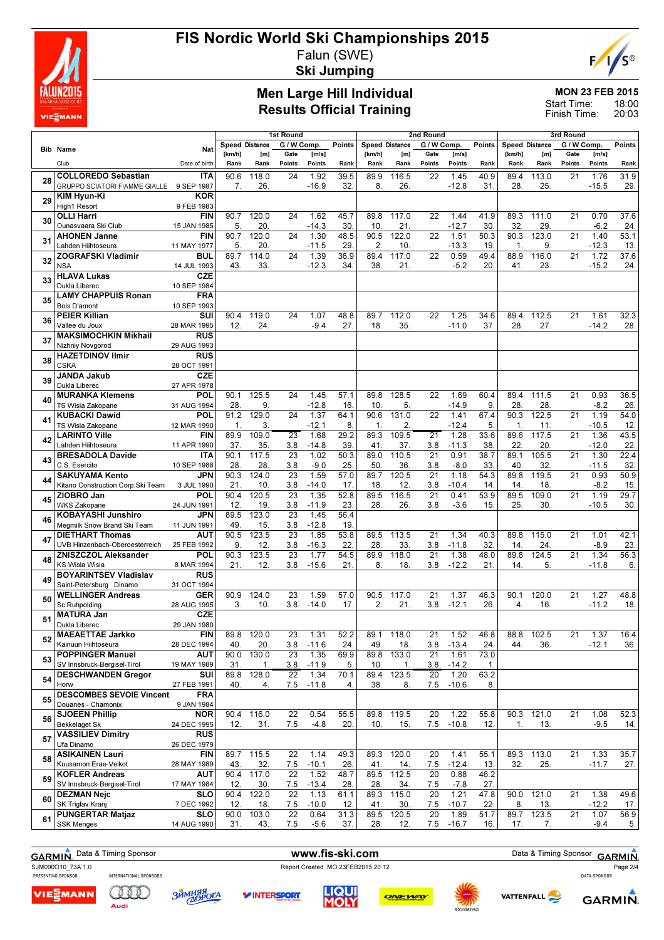

### FIS Nordic World Ski Championships 2015 Falun (SWE)

Ski Jumping

### Men Large Hill Individual Results Official Training

### MON 23 FEB 2015

 $F/1$ 

18:00 20:03 Start Time: Finish Time:

|    |                                                               | 1st Round                 |                |                       |                        |                              | 2nd Round   |                         |              |                        |                 | 3rd Round   |                |                       |                 |                 |                |
|----|---------------------------------------------------------------|---------------------------|----------------|-----------------------|------------------------|------------------------------|-------------|-------------------------|--------------|------------------------|-----------------|-------------|----------------|-----------------------|-----------------|-----------------|----------------|
|    | <b>Bib Name</b>                                               | Nat                       |                | <b>Speed Distance</b> | G / W Comp.            |                              | Points      | Speed Distance          |              | G / W Comp.            |                 | Points      |                | <b>Speed Distance</b> | G / W Comp.     |                 | Points         |
|    | Club                                                          | Date of birth             | [km/h]<br>Rank | [m]<br>Rank           | Gate<br>Points         | [m/s]<br>Points              | Rank        | [km/h]<br>Rank          | [m]<br>Rank  | Gate<br>Points         | [m/s]<br>Points | Rank        | [km/h]<br>Rank | [m]<br>Rank           | Gate<br>Points  | [m/s]<br>Points | Rank           |
|    | <b>COLLOREDO Sebastian</b>                                    | <b>ITA</b>                | 90.6           | 118.0                 | 24                     | 1.92                         | 39.5        | 89.9                    | 116.5        | 22                     | 1.45            | 40.9        | 89.4           | 113.0                 | 21              | 1.76            | 31.9           |
| 28 | GRUPPO SCIATORI FIAMME GIALLE 9 SEP 1987                      |                           | 7.             | 26                    |                        | $-16.9$                      | 32          | 8.                      | 26.          |                        | $-12.8$         | 31          | 28.            | 25.                   |                 | $-15.5$         | 29.            |
| 29 | <b>KIM Hyun-Ki</b><br><b>High1 Resort</b>                     | KOR<br>9 FEB 1983         |                |                       |                        |                              |             |                         |              |                        |                 |             |                |                       |                 |                 |                |
|    | <b>OLLI Harri</b>                                             | <b>FIN</b>                | 90.7           | 120.0                 | 24                     | 1.62                         | 45.7        | 89.8                    | 117.0        | 22                     | 1.44            | 41.9        | 89.3           | 111.0                 | 21              | 0.70            | 37.6           |
| 30 | Ounasvaara Ski Club                                           | 15 JAN 1985               | 5.             | 20                    |                        | $-14.3$                      | 30          | 10                      | 21.          |                        | $-12.7$         | 30.         | 32.            | 29                    |                 | $-6.2$          | 24.            |
| 31 | <b>AHONEN Janne</b><br>Lahden Hiihtoseura                     | <b>FIN</b><br>11 MAY 1977 | 90.7<br>5.     | 120.0<br>20           | 24                     | 1.30<br>$-11.5$              | 48.5<br>29  | 90.5<br>$\mathbf{2}$    | 122.0<br>10  | 22                     | 1.51<br>$-13.3$ | 50.3<br>19. | 90.3<br>1.     | 123.0<br>9.           | 21              | 1.40<br>$-12.3$ | 53.1<br>13.    |
|    | <b>ZOGRAFSKI Vladimir</b>                                     | <b>BUL</b>                | 89.7           | 114.0                 | 24                     | 1.39                         | 36.9        | 89.4                    | 117.0        | 22                     | 0.59            | 49.4        | 88.9           | 116.0                 | 21              | 1.72            | 37.6           |
| 32 | <b>NSA</b>                                                    | 14 JUL 1993               | 43.            | 33                    |                        | $-12.3$                      | 34          | 38.                     | 21.          |                        | $-5.2$          | 20.         | 41.            | 23.                   |                 | $-15.2$         | 24.            |
| 33 | <b>HLAVA Lukas</b><br>Dukla Liberec                           | CZE<br>10 SEP 1984        |                |                       |                        |                              |             |                         |              |                        |                 |             |                |                       |                 |                 |                |
| 35 | <b>LAMY CHAPPUIS Ronan</b>                                    | <b>FRA</b>                |                |                       |                        |                              |             |                         |              |                        |                 |             |                |                       |                 |                 |                |
|    | <b>Bois D'amont</b>                                           | 10 SEP 1993               |                |                       |                        |                              |             |                         |              |                        |                 |             |                |                       |                 |                 |                |
| 36 | <b>PEIER Killian</b><br>Vallee du Joux                        | SUI<br>28 MAR 1995        | 90.4<br>12.    | 119.0<br>24.          | 24                     | 1.07<br>$-9.4$               | 48.8<br>27  | 89.7<br>18.             | 112.0<br>35. | 22                     | 1.25<br>$-11.0$ | 34.6<br>37. | 89.4<br>28.    | 112.5<br>27.          | 21              | 1.61<br>$-14.2$ | 32.3<br>28.    |
| 37 | <b>MAKSIMOCHKIN Mikhail</b>                                   | <b>RUS</b>                |                |                       |                        |                              |             |                         |              |                        |                 |             |                |                       |                 |                 |                |
|    | Nizhniv Novgorod                                              | 29 AUG 1993               |                |                       |                        |                              |             |                         |              |                        |                 |             |                |                       |                 |                 |                |
| 38 | <b>HAZETDINOV Ilmir</b><br><b>CSKA</b>                        | <b>RUS</b><br>28 OCT 1991 |                |                       |                        |                              |             |                         |              |                        |                 |             |                |                       |                 |                 |                |
| 39 | <b>JANDA Jakub</b>                                            | <b>CZE</b>                |                |                       |                        |                              |             |                         |              |                        |                 |             |                |                       |                 |                 |                |
|    | Dukla Liberec                                                 | 27 APR 1978               |                |                       |                        |                              |             |                         |              |                        |                 |             |                |                       |                 |                 |                |
| 40 | <b>MURANKA Klemens</b><br>TS Wisla Zakopane                   | POL<br>31 AUG 1994        | 90.1<br>28.    | 125.5<br>9            | $\overline{24}$        | $1.\overline{45}$<br>$-12.8$ | 57.1<br>16. | 89.8<br>10              | 128.5<br>5.  | 22                     | 1.69<br>$-14.9$ | 60.4<br>9.  | 89.4<br>28.    | 111.5<br>28.          | 21              | 0.93<br>$-8.2$  | 36.5<br>26     |
| 41 | <b>KUBACKI Dawid</b>                                          | <b>POL</b>                | 91.2           | 129.0                 | 24                     | 1.37                         | 64.1        | 90.6                    | 131.0        | $\overline{22}$        | 1.41            | 67.4        | 90.3           | 122.5                 | $\overline{21}$ | 1.19            | 54.0           |
|    | TS Wisla Zakopane                                             | 12 MAR 1990               | 1.             | 3.                    |                        | $-12.1$                      | 8           | $\mathbf{1}$            | 2.           |                        | $-12.4$         | 5.          | $\mathbf 1$    | 11.                   |                 | $-10.5$         | 12.            |
| 42 | <b>LARINTO Ville</b><br>Lahden Hiihtoseura                    | <b>FIN</b><br>11 APR 1990 | 89.9<br>37.    | 109.0<br>35           | $\overline{23}$<br>3.8 | 1.68<br>$-14.8$              | 29.2<br>39  | 89.3<br>41              | 109.5<br>37. | $\overline{21}$<br>3.8 | 1.28<br>$-11.3$ | 33.6<br>38  | 89.6<br>22     | 117.5<br>20.          | 21              | 1.36<br>$-12.0$ | 43.5<br>22.    |
| 43 | <b>BRESADOLA Davide</b>                                       | <b>ITA</b>                | 90.1           | 117.5                 | $\overline{23}$        | 1.02                         | 50.3        | 89.0                    | 110.5        | $\overline{21}$        | 0.91            | 38.7        | 89.1           | 105.5                 | 21              | 1.30            | 22.4           |
|    | C.S. Esercito                                                 | 10 SEP 1988               | 28             | 28                    | 3.8                    | $-9.0$                       | 25          | 50                      | 36.          | 3.8                    | $-8.0$          | 33          | 40             | 32                    |                 | $-11.5$         | 32             |
| 44 | <b>SAKUYAMA Kento</b><br>Kitano Construction Corp. Ski Team   | JPN<br>3 JUL 1990         | 90.3<br>21.    | 124.0<br>10           | 23<br>3.8              | 1.59<br>$-14.0$              | 57.0<br>17  | 89.7<br>18.             | 120.5<br>12. | $\overline{21}$<br>3.8 | 1.18<br>$-10.4$ | 54.3<br>14. | 89.8<br>14     | 119.5<br>18.          | 21              | 0.93<br>$-8.2$  | 50.9<br>15.    |
| 45 | ZIOBRO Jan                                                    | POL                       | 90.4           | 120.5                 | 23                     | 1.35                         | 52.8        | 89.5                    | 116.5        | 21                     | 0.41            | 53.9        | 89.5           | 109.0                 | 21              | 1.19            | 29.7           |
|    | <b>WKS Zakopane</b>                                           | 24 JUN 1991               | 12             | 19                    | 3.8                    | $-11.9$                      | 23          | 28.                     | 26.          | 3.8                    | $-3.6$          | 15.         | 25.            | 30.                   |                 | $-10.5$         | 30.            |
| 46 | <b>KOBAYASHI Junshiro</b><br>Megmilk Snow Brand Ski Team      | JPN<br>11 JUN 1991        | 89.5<br>49.    | 123.0<br>15.          | 23<br>3.8              | 1.45<br>$-12.8$              | 56.4<br>19  |                         |              |                        |                 |             |                |                       |                 |                 |                |
| 47 | <b>DIETHART Thomas</b>                                        | <b>AUT</b>                | 90.5           | 123.5                 | 23                     | 1.85                         | 53.8        | 89.5                    | 113.5        | 21                     | 1.34            | 40.3        | 89.8           | 115.0                 | 21              | 1.01            | 42.1           |
|    | UVB Hinzenbach-Oberoesterreich<br><b>ZNISZCZOL Aleksander</b> | 25 FEB 1992<br>POL        | 9.<br>90.3     | 12.<br>123.5          | 3.8<br>23              | $-16.3$<br>1.77              | 22<br>54.5  | 28<br>89.9              | 33.<br>118.0 | 3.8<br>21              | $-11.8$<br>1.38 | 32.<br>48.0 | 14.<br>89.8    | 24.<br>124.5          | 21              | $-8.9$<br>1.34  | 23.<br>56.3    |
| 48 | KS Wisla Wisla                                                | 8 MAR 1994                | 21.            | 12.                   | 3.8                    | $-15.6$                      | 21.         | 8.                      | 18.          | 3.8                    | $-12.2$         | 21.         | 14.            | 5.                    |                 | $-11.8$         | 6.             |
| 49 | <b>BOYARINTSEV Vladislav</b>                                  | <b>RUS</b>                |                |                       |                        |                              |             |                         |              |                        |                 |             |                |                       |                 |                 |                |
|    | Saint-Petersburg Dinamo<br><b>WELLINGER Andreas</b>           | 31 OCT 1994<br><b>GER</b> | 90.9           | 124.0                 | 23                     | 1.59                         | 57.0        | 90.5                    | 117.0        | 21                     | 1.37            | 46.3        | 90.1           | 120.0                 | 21              | 1.27            | 48.8           |
| 50 | <b>Sc Ruhpolding</b>                                          | 28 AUG 1995               | 3.             | 10.                   | 3.8                    | $-14.0$                      | 17.         | 2.                      | 21.          | 3.8                    | $-12.1$         | 26.         | 4.             | 16.                   |                 | $-11.2$         | 18.            |
| 51 | <b>MATURA Jan</b>                                             | <b>CZE</b>                |                |                       |                        |                              |             |                         |              |                        |                 |             |                |                       |                 |                 |                |
|    | Dukla Liberec<br><b>MAEAETTAE Jarkko</b>                      | 29 JAN 1980<br><b>FIN</b> | 89.8           | 120.0                 | 23                     | 1.31                         | 52.2        | 89.1                    | 118.0        | 21                     | 1.52            | 46.8        | 88.8           | 102.5                 | 21              | 1.37            | 16.4           |
| 52 | Kainuun Hiihtoseura                                           | 28 DEC 1994               | 40.            | 20.                   | 3.8                    | $-11.6$                      | 24.         | 49                      | 18.          | 3.8                    | $-13.4$         | 24.         | 44.            | 36.                   |                 | $-12.1$         | 36.            |
| 53 | <b>POPPINGER Manuel</b>                                       | AUT                       | 90.0           | 130.0                 | 23                     | 1.35                         | 69.9        | 89.8                    | 133.0        | 21                     | 1.61            | 73.0        |                |                       |                 |                 |                |
|    | SV Innsbruck-Bergisel-Tirol<br><b>DESCHWANDEN Gregor</b>      | 19 MAY 1989<br>SUI        | 31.<br>89.8    | 1.<br>128.0           | 3.8<br>22              | $-11.9$<br>1.34              | 5.<br>70.1  | 10 <sub>1</sub><br>89.4 | 1.<br>123.5  | 3.8<br>20              | $-14.2$<br>1.20 | 1.<br>63.2  |                |                       |                 |                 |                |
| 54 | Horw                                                          | 27 FEB 1991               | 40.            | 4.                    | 7.5                    | $-11.8$                      | 4.          | 38.                     | 8.           | 7.5                    | $-10.6$         | 8.          |                |                       |                 |                 |                |
| 55 | <b>DESCOMBES SEVOIE Vincent</b>                               | <b>FRA</b>                |                |                       |                        |                              |             |                         |              |                        |                 |             |                |                       |                 |                 |                |
|    | Douanes - Chamonix<br><b>SJOEEN Phillip</b>                   | 9 JAN 1984<br>NOR         | 90.4           | 116.0                 | 22                     | 0.54                         | 55.5        | 89.8                    | 119.5        | 20                     | 1.22            | 55.8        | 90.3           | 121.0                 | $\overline{21}$ | 1.08            | 52.3           |
| 56 | <b>Bekkelaget Sk</b>                                          | 24 DEC 1995               | 12.            | 31.                   | 7.5                    | $-4.8$                       | 20.         | 10.                     | 15.          | 7.5                    | $-10.8$         | 12.         | 1.             | 13.                   |                 | $-9.5$          | 14.            |
| 57 | <b>VASSILIEV Dimitry</b>                                      | <b>RUS</b>                |                |                       |                        |                              |             |                         |              |                        |                 |             |                |                       |                 |                 |                |
|    | Ufa Dinamo<br><b>ASIKAINEN Lauri</b>                          | 26 DEC 1979<br><b>FIN</b> | 89.7           | 115.5                 | 22                     | 1.14                         | 49.3        | 89.3                    | 120.0        | 20                     | 1.41            | 55.1        | 89.3           | 113.0                 | 21              | 1.33            | 35.7           |
| 58 | Kuusamon Erae-Veikot                                          | 28 MAY 1989               | 43.            | 32.                   | 7.5                    | $-10.1$                      | 26.         | 41.                     | 14.          | 7.5                    | $-12.4$         | 13.         | 32.            | 25.                   |                 | $-11.7$         | 27.            |
| 59 | <b>KOFLER Andreas</b>                                         | <b>AUT</b>                | 90.4           | 117.0                 | $\overline{22}$        | 1.52                         | 48.7        | 89.5                    | 112.5        | 20                     | 0.88            | 46.2        |                |                       |                 |                 |                |
|    | SV Innsbruck-Bergisel-Tirol<br><b>DEZMAN Nejc</b>             | 17 MAY 1984<br><b>SLO</b> | 12.<br>90.4    | 30.<br>122.0          | 7.5<br>22              | $-13.4$<br>1.13              | 28.<br>61.1 | 28.<br>89.3             | 34.<br>115.0 | 7.5<br>20              | $-7.8$<br>1.21  | 27.<br>47.8 | 90.0           | 121.0                 | 21              | 1.38            | 49.6           |
| 60 | SK Triglav Kranj                                              | 7 DEC 1992                | 12.            | 18.                   | 7.5                    | $-10.0$                      | 12.         | 41.                     | 30.          | 7.5                    | $-10.7$         | 22.         | 8.             | 13.                   |                 | $-12.2$         | 17.            |
| 61 | <b>PUNGERTAR Matjaz</b>                                       | <b>SLO</b>                | 90.0           | 103.0                 | 22                     | 0.64                         | 31.3        | 89.5                    | 120.5        | 20                     | 1.89            | 51.7        | 89.7           | 123.5                 | 21              | 1.07            | 56.9           |
|    | <b>SSK Menges</b>                                             | 14 AUG 1990               | 31.            | 43.                   | 7.5                    | $-5.6$                       | 37.         | 28.                     | 12.          | 7.5                    | $-16.7$         | 16.         | 17.            | 7.                    |                 | $-9.4$          | 5 <sub>1</sub> |

SJM090O10\_73A 1.0 **Report Created MO 23FEB2015 20:12** Report Created MO 23FEB2015 20:12

QID

Audi

**LIQUI**<br>MOLY

GARMIN. Data & Timing Sponsor **www.fis-ski.com** Data & Timing Sponsor GARMIN. Page 2/4











**Y INTERSPORT**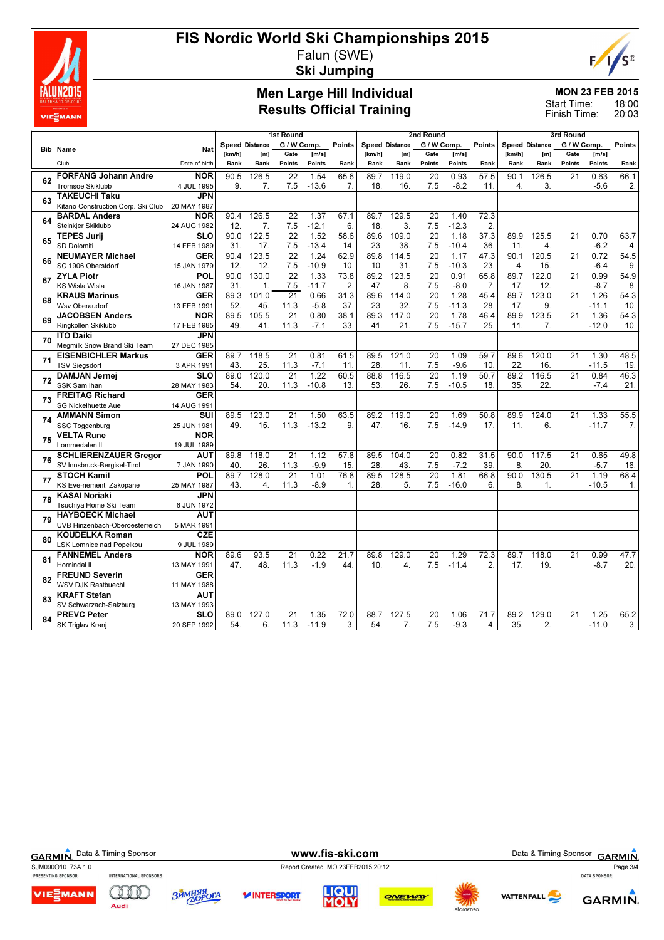

### FIS Nordic World Ski Championships 2015 Falun (SWE)



Ski Jumping

### Men Large Hill Individual Results Official Training

### MON 23 FEB 2015

18:00 20:03 Start Time: Finish Time:

|    |                                                      |                                        |        |                  | 1st Round       |         |                | 2nd Round       |                  |                 |         |                  |                |                | 3rd Round       |         |                   |
|----|------------------------------------------------------|----------------------------------------|--------|------------------|-----------------|---------|----------------|-----------------|------------------|-----------------|---------|------------------|----------------|----------------|-----------------|---------|-------------------|
|    |                                                      |                                        |        | Speed Distance   | G / W Comp.     |         | Points         |                 | Speed Distance   | G / W Comp.     |         | Points           |                | Speed Distance | G / W Comp.     |         | Points            |
|    | <b>Bib Name</b>                                      | Nat                                    | [km/h] | [m]              | Gate            | [m/s]   |                | [km/h]          | [m]              | Gate            | [m/s]   |                  | [km/h]         | [m]            | Gate            | [m/s]   |                   |
|    | Club                                                 | Date of birth                          | Rank   | Rank             | Points          | Points  | Rank           | Rank            | Rank             | Points          | Points  | Rank             | Rank           | Rank           | Points          | Points  | Rank              |
|    | <b>FORFANG Johann Andre</b>                          | <b>NOR</b>                             | 90.5   | 126.5            | $\overline{22}$ | 1.54    | 65.6           | 89.7            | 119.0            | 20              | 0.93    | 57.5             | 90.1           | 126.5          | $\overline{21}$ | 0.63    | 66.1              |
| 62 | <b>Tromsoe Skiklubb</b>                              | 4 JUL 1995                             | 9.     | 7.               | 7.5             | $-13.6$ | 7.             | 18.             | 16.              | 7.5             | $-8.2$  | 11.              | 4.             | 3.             |                 | $-5.6$  | 2.                |
| 63 | <b>TAKEUCHI Taku</b>                                 | <b>JPN</b>                             |        |                  |                 |         |                |                 |                  |                 |         |                  |                |                |                 |         |                   |
|    | Kitano Construction Corp. Ski Club                   | 20 MAY 1987                            |        |                  |                 |         |                |                 |                  |                 |         |                  |                |                |                 |         |                   |
|    | <b>BARDAL Anders</b>                                 | <b>NOR</b>                             | 90.4   | 126.5            | $\overline{22}$ | 1.37    | 67.1           | 89.7            | 129.5            | 20              | 1.40    | 72.3             |                |                |                 |         |                   |
| 64 | Steinkjer Skiklubb                                   | 24 AUG 1982                            | 12.    | 7.               | 7.5             | $-12.1$ | 6.             | 18.             | 3.               | 7.5             | $-12.3$ | 2                |                |                |                 |         |                   |
| 65 | <b>TEPES Jurii</b>                                   | <b>SLO</b>                             | 90.0   | 122.5            | $\overline{22}$ | 1.52    | 58.6           | 89.6            | 109.0            | $\overline{20}$ | 1.18    | 37.3             | 89.9           | 125.5          | $\overline{21}$ | 0.70    | 63.7              |
|    | <b>SD Dolomiti</b>                                   | 14 FEB 1989                            | 31.    | 17.              | 7.5             | $-13.4$ | 14.            | 23.             | 38.              | 7.5             | $-10.4$ | 36.              | 11.            | 4.             |                 | $-6.2$  | 4.                |
| 66 | <b>NEUMAYER Michael</b>                              | <b>GER</b>                             | 90.4   | 123.5            | $\overline{22}$ | 1.24    | 62.9           | 89.8            | 114.5            | $\overline{20}$ | 1.17    | 47.3             | 90.1           | 120.5          | 21              | 0.72    | 54.5              |
|    | SC 1906 Oberstdorf                                   | 15 JAN 1979                            | 12     | 12.              | 7.5             | $-10.9$ | 10             | 10 <sub>1</sub> | 31.              | 7.5             | $-10.3$ | 23.              | $\overline{4}$ | 15.            |                 | $-6.4$  | 9.                |
| 67 | <b>ZYLA Piotr</b>                                    | POL                                    | 90.0   | 130.0            | $\overline{22}$ | 1.33    | 73.8           | 89.2            | 123.5            | $\overline{20}$ | 0.91    | 65.8             | 89.7           | 122.0          | $\overline{21}$ | 0.99    | 54.9              |
|    | <b>KS Wisla Wisla</b>                                | 16 JAN 1987                            | 31.    | $\mathbf{1}$     | 7.5             | $-11.7$ | $\overline{2}$ | 47.             | 8.               | 7.5             | $-8.0$  | $\overline{7}$   | 17.            | 12             |                 | $-8.7$  | 8.                |
| 68 | <b>KRAUS Marinus</b>                                 | <b>GER</b>                             | 89.3   | 101.0            | $\overline{21}$ | 0.66    | 31.3           | 89.6            | 114.0            | $\overline{20}$ | 1.28    | 45.4             | 89.7           | 123.0          | $\overline{21}$ | 1.26    | $\overline{54.3}$ |
|    | <b>Wsv Oberaudorf</b>                                | 13 FEB 1991                            | 52.    | 45.              | 11.3            | $-5.8$  | 37.            | 23.             | 32.              | 7.5             | $-11.3$ | 28.              | 17.            | 9.             |                 | $-11.1$ | 10.               |
| 69 | <b>JACOBSEN Anders</b>                               | <b>NOR</b>                             | 89.5   | 105.5            | 21              | 0.80    | 38.1           | 89.3            | 117.0            | 20              | 1.78    | 46.4             | 89.9           | 123.5          | 21              | 1.36    | 54.3              |
|    | Ringkollen Skiklubb                                  | 17 FEB 1985                            | 49.    | 41.              | 11.3            | $-7.1$  | 33.            | 41.             | 21.              | 7.5             | $-15.7$ | 25.              | 11.            | 7.             |                 | $-12.0$ | 10.               |
| 70 | <b>ITO Daiki</b>                                     | JPN                                    |        |                  |                 |         |                |                 |                  |                 |         |                  |                |                |                 |         |                   |
|    | Megmilk Snow Brand Ski Team                          | 27 DEC 1985                            |        |                  |                 |         |                |                 |                  |                 |         |                  |                |                |                 |         |                   |
| 71 | <b>EISENBICHLER Markus</b>                           | <b>GER</b>                             | 89.7   | 118.5            | 21              | 0.81    | 61.5           | 89.5            | 121.0            | 20              | 1.09    | 59.7             | 89.6           | 120.0          | 21              | 1.30    | 48.5              |
|    | <b>TSV Siegsdorf</b>                                 | 3 APR 1991                             | 43.    | 25.              | 11.3            | $-7.1$  | 11.            | 28.             | 11.              | 7.5             | $-9.6$  | 10               | 22.            | 16.            |                 | $-11.5$ | 19.               |
| 72 | <b>DAMJAN Jernej</b>                                 | <b>SLO</b>                             | 89.0   | 120.0            | 21              | 1.22    | 60.5           | 88.8            | 116.5            | 20              | 1.19    | 50.7             | 89.2           | 116.5          | 21              | 0.84    | 46.3              |
|    | SSK Sam Ihan                                         | 28 MAY 1983<br><b>GER</b>              | 54.    | 20.              | 11.3            | $-10.8$ | 13.            | 53.             | 26.              | 7.5             | $-10.5$ | 18               | 35.            | 22.            |                 | $-7.4$  | 21.               |
| 73 | <b>FREITAG Richard</b><br><b>SG Nickelhuette Aue</b> |                                        |        |                  |                 |         |                |                 |                  |                 |         |                  |                |                |                 |         |                   |
|    | <b>AMMANN Simon</b>                                  | 14 AUG 1991<br>$\overline{\text{SUI}}$ | 89.5   | 123.0            | $\overline{21}$ | 1.50    | 63.5           | 89.2            | 119.0            | $\overline{20}$ | 1.69    | 50.8             | 89.9           | 124.0          | $\overline{21}$ | 1.33    | 55.5              |
| 74 | <b>SSC Toggenburg</b>                                | 25 JUN 1981                            | 49.    | 15.              | 11.3            | $-13.2$ | 9.             | 47.             | 16.              | 7.5             | $-14.9$ | 17.              | 11.            | 6.             |                 | $-11.7$ | 7.                |
|    | <b>VELTA Rune</b>                                    | <b>NOR</b>                             |        |                  |                 |         |                |                 |                  |                 |         |                  |                |                |                 |         |                   |
| 75 | Lommedalen II                                        | 19 JUL 1989                            |        |                  |                 |         |                |                 |                  |                 |         |                  |                |                |                 |         |                   |
|    | <b>SCHLIERENZAUER Gregor</b>                         | <b>AUT</b>                             | 89.8   | 118.0            | $\overline{21}$ | 1.12    | 57.8           | 89.5            | 104.0            | $\overline{20}$ | 0.82    | 31.5             | 90.0           | 117.5          | $\overline{21}$ | 0.65    | 49.8              |
| 76 | SV Innsbruck-Bergisel-Tirol                          | 7 JAN 1990                             | 40     | 26.              | 11.3            | $-9.9$  | 15.            | 28.             | 43.              | 7.5             | $-7.2$  | 39.              | 8.             | 20.            |                 | $-5.7$  | 16.               |
|    | <b>STOCH Kamil</b>                                   | POL                                    | 89.7   | 128.0            | 21              | 1.01    | 76.8           | 89.5            | 128.5            | 20              | 1.81    | 66.8             | 90.0           | 130.5          | 21              | 1.19    | 68.4              |
| 77 | KS Eve-nement Zakopane                               | 25 MAY 1987                            | 43.    | $\overline{4}$ . | 11.3            | $-8.9$  | $\mathbf{1}$ . | 28.             | 5.               | 7.5             | $-16.0$ | 6.               | 8.             | 1.             |                 | $-10.5$ | 1.                |
|    | <b>KASAI Noriaki</b>                                 | <b>JPN</b>                             |        |                  |                 |         |                |                 |                  |                 |         |                  |                |                |                 |         |                   |
| 78 | Tsuchiya Home Ski Team                               | 6 JUN 1972                             |        |                  |                 |         |                |                 |                  |                 |         |                  |                |                |                 |         |                   |
|    | <b>HAYBOECK Michael</b>                              | <b>AUT</b>                             |        |                  |                 |         |                |                 |                  |                 |         |                  |                |                |                 |         |                   |
| 79 | UVB Hinzenbach-Oberoesterreich                       | 5 MAR 1991                             |        |                  |                 |         |                |                 |                  |                 |         |                  |                |                |                 |         |                   |
|    | <b>KOUDELKA Roman</b>                                | <b>CZE</b>                             |        |                  |                 |         |                |                 |                  |                 |         |                  |                |                |                 |         |                   |
| 80 | <b>LSK Lomnice nad Popelkou</b>                      | 9 JUL 1989                             |        |                  |                 |         |                |                 |                  |                 |         |                  |                |                |                 |         |                   |
| 81 | <b>FANNEMEL Anders</b>                               | <b>NOR</b>                             | 89.6   | 93.5             | $\overline{21}$ | 0.22    | 21.7           | 89.8            | 129.0            | $\overline{20}$ | 1.29    | 72.3             | 89.7           | 118.0          | $\overline{21}$ | 0.99    | 47.7              |
|    | Hornindal II                                         | 13 MAY 1991                            | 47.    | 48.              | 11.3            | $-1.9$  | 44.            | 10.             | $\overline{4}$ . | 7.5             | $-11.4$ | $\mathbf{2}$     | 17.            | 19.            |                 | $-8.7$  | 20.               |
| 82 | <b>FREUND Severin</b>                                | <b>GER</b>                             |        |                  |                 |         |                |                 |                  |                 |         |                  |                |                |                 |         |                   |
|    | <b>WSV DJK Rastbuechl</b>                            | 11 MAY 1988                            |        |                  |                 |         |                |                 |                  |                 |         |                  |                |                |                 |         |                   |
| 83 | <b>KRAFT Stefan</b>                                  | <b>AUT</b>                             |        |                  |                 |         |                |                 |                  |                 |         |                  |                |                |                 |         |                   |
|    | SV Schwarzach-Salzburg                               | 13 MAY 1993                            |        |                  |                 |         |                |                 |                  |                 |         |                  |                |                |                 |         |                   |
| 84 | <b>PREVC Peter</b>                                   | SLO                                    | 89.0   | 127.0            | 21              | 1.35    | 72.0           | 88.7            | 127.5            | 20              | 1.06    | 71.7             | 89.2           | 129.0          | 21              | 1.25    | 65.2              |
|    | SK Triglav Kranj                                     | 20 SEP 1992                            | 54.    | 6.               | 11.3            | $-11.9$ | 3.             | 54.             | 7 <sub>1</sub>   | 7.5             | $-9.3$  | $\overline{4}$ . | 35.            | 2.             |                 | $-11.0$ | 3.                |

GARMIN. Data & Timing Sponsor **www.fis-ski.com** Data & Timing Sponsor GARMIN.

SJM090O10\_73A 1.0 **Report Created MO 23FEB2015 20:12** Report Created MO 23FEB2015 20:12





**Y INTERSPORT** 







Page 3/4